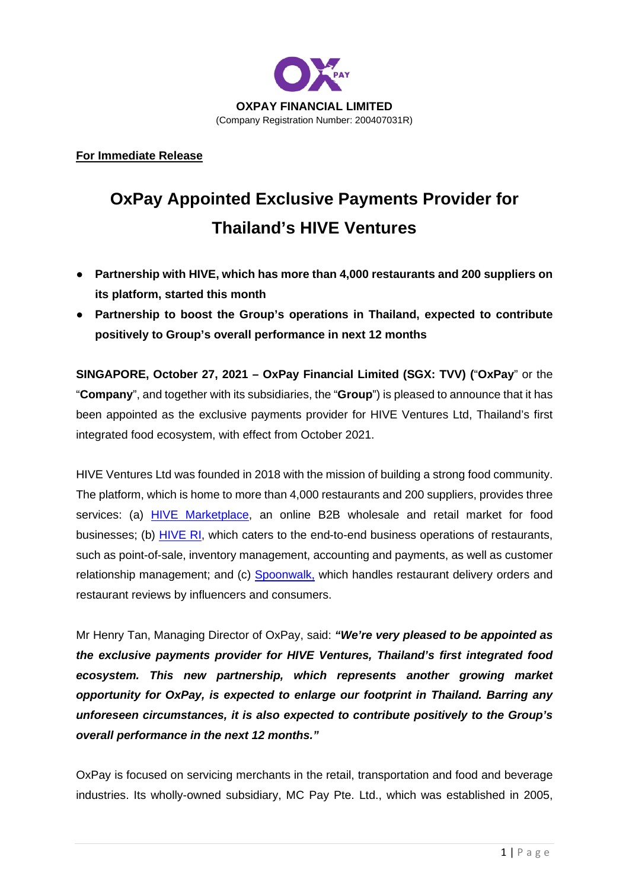

**For Immediate Release** 

## **OxPay Appointed Exclusive Payments Provider for Thailand's HIVE Ventures**

- **Partnership with HIVE, which has more than 4,000 restaurants and 200 suppliers on its platform, started this month**
- **Partnership to boost the Group's operations in Thailand, expected to contribute positively to Group's overall performance in next 12 months**

**SINGAPORE, October 27, 2021 – OxPay Financial Limited (SGX: TVV) (**"**OxPay**" or the "**Company**", and together with its subsidiaries, the "**Group**") is pleased to announce that it has been appointed as the exclusive payments provider for HIVE Ventures Ltd, Thailand's first integrated food ecosystem, with effect from October 2021.

HIVE Ventures Ltd was founded in 2018 with the mission of building a strong food community. The platform, which is home to more than 4,000 restaurants and 200 suppliers, provides three services: (a) HIVE Marketplace, an online B2B wholesale and retail market for food businesses; (b) HIVE RI, which caters to the end-to-end business operations of restaurants, such as point-of-sale, inventory management, accounting and payments, as well as customer relationship management; and (c) Spoonwalk, which handles restaurant delivery orders and restaurant reviews by influencers and consumers.

Mr Henry Tan, Managing Director of OxPay, said: *"We're very pleased to be appointed as the exclusive payments provider for HIVE Ventures, Thailand's first integrated food ecosystem. This new partnership, which represents another growing market opportunity for OxPay, is expected to enlarge our footprint in Thailand. Barring any unforeseen circumstances, it is also expected to contribute positively to the Group's overall performance in the next 12 months."*

OxPay is focused on servicing merchants in the retail, transportation and food and beverage industries. Its wholly-owned subsidiary, MC Pay Pte. Ltd., which was established in 2005,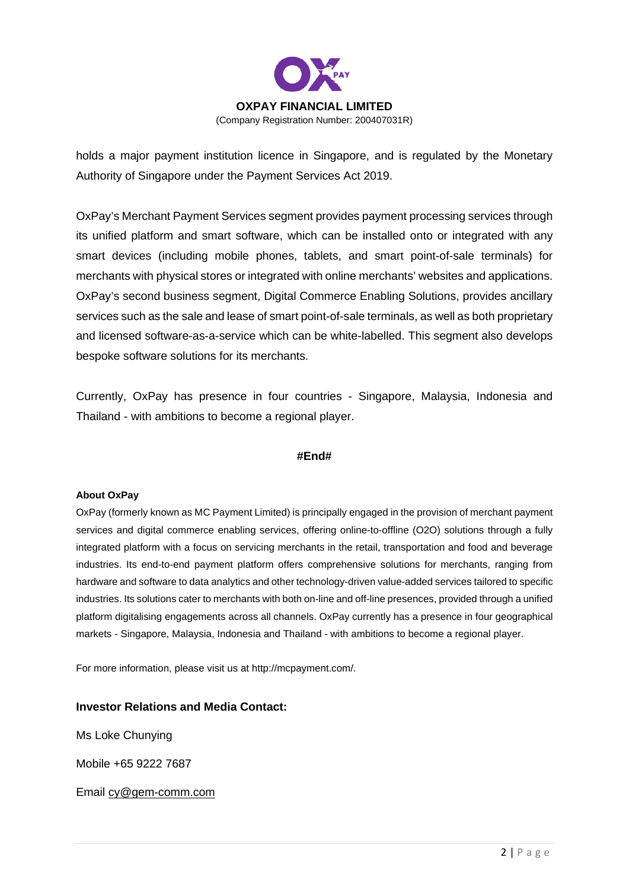

holds a major payment institution licence in Singapore, and is regulated by the Monetary Authority of Singapore under the Payment Services Act 2019.

OxPay's Merchant Payment Services segment provides payment processing services through its unified platform and smart software, which can be installed onto or integrated with any smart devices (including mobile phones, tablets, and smart point-of-sale terminals) for merchants with physical stores or integrated with online merchants' websites and applications. OxPay's second business segment, Digital Commerce Enabling Solutions, provides ancillary services such as the sale and lease of smart point-of-sale terminals, as well as both proprietary and licensed software-as-a-service which can be white-labelled. This segment also develops bespoke software solutions for its merchants.

Currently, OxPay has presence in four countries - Singapore, Malaysia, Indonesia and Thailand - with ambitions to become a regional player.

## **#End#**

## **About OxPay**

OxPay (formerly known as MC Payment Limited) is principally engaged in the provision of merchant payment services and digital commerce enabling services, offering online-to-offline (O2O) solutions through a fully integrated platform with a focus on servicing merchants in the retail, transportation and food and beverage industries. Its end-to-end payment platform offers comprehensive solutions for merchants, ranging from hardware and software to data analytics and other technology-driven value-added services tailored to specific industries. Its solutions cater to merchants with both on-line and off-line presences, provided through a unified platform digitalising engagements across all channels. OxPay currently has a presence in four geographical markets - Singapore, Malaysia, Indonesia and Thailand - with ambitions to become a regional player.

For more information, please visit us at http://mcpayment.com/.

## **Investor Relations and Media Contact:**

Ms Loke Chunying

Mobile +65 9222 7687

Email cy@gem-comm.com